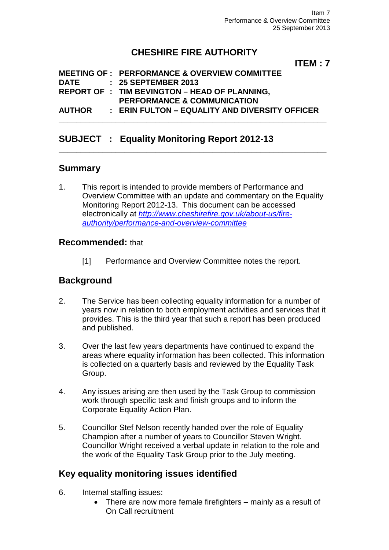# **CHESHIRE FIRE AUTHORITY**

**ITEM : 7**

|               | <b>MEETING OF : PERFORMANCE &amp; OVERVIEW COMMITTEE</b> |
|---------------|----------------------------------------------------------|
| <b>DATE</b>   | : 25 SEPTEMBER 2013                                      |
|               | <b>REPORT OF : TIM BEVINGTON - HEAD OF PLANNING.</b>     |
|               | <b>PERFORMANCE &amp; COMMUNICATION</b>                   |
| <b>AUTHOR</b> | : ERIN FULTON - EQUALITY AND DIVERSITY OFFICER           |
|               |                                                          |

## **SUBJECT : Equality Monitoring Report 2012-13**

## **Summary**

1. This report is intended to provide members of Performance and Overview Committee with an update and commentary on the Equality Monitoring Report 2012-13. This document can be accessed electronically at *[http://www.cheshirefire.gov.uk/about-us/fire](http://www.cheshirefire.gov.uk/about-us/fire-authority/performance-and-overview-committee)[authority/performance-and-overview-committee](http://www.cheshirefire.gov.uk/about-us/fire-authority/performance-and-overview-committee)*

**\_\_\_\_\_\_\_\_\_\_\_\_\_\_\_\_\_\_\_\_\_\_\_\_\_\_\_\_\_\_\_\_\_\_\_\_\_\_\_\_\_\_\_\_\_\_\_\_\_\_\_\_\_\_\_\_\_\_\_\_\_**

### **Recommended:** that

[1] Performance and Overview Committee notes the report.

## **Background**

- 2. The Service has been collecting equality information for a number of years now in relation to both employment activities and services that it provides. This is the third year that such a report has been produced and published.
- 3. Over the last few years departments have continued to expand the areas where equality information has been collected. This information is collected on a quarterly basis and reviewed by the Equality Task Group.
- 4. Any issues arising are then used by the Task Group to commission work through specific task and finish groups and to inform the Corporate Equality Action Plan.
- 5. Councillor Stef Nelson recently handed over the role of Equality Champion after a number of years to Councillor Steven Wright. Councillor Wright received a verbal update in relation to the role and the work of the Equality Task Group prior to the July meeting.

## **Key equality monitoring issues identified**

- 6. Internal staffing issues:
	- There are now more female firefighters mainly as a result of On Call recruitment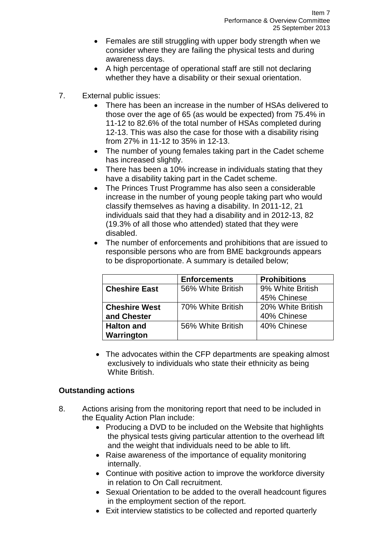- Females are still struggling with upper body strength when we consider where they are failing the physical tests and during awareness days.
- A high percentage of operational staff are still not declaring whether they have a disability or their sexual orientation.
- 7. External public issues:
	- There has been an increase in the number of HSAs delivered to those over the age of 65 (as would be expected) from 75.4% in 11-12 to 82.6% of the total number of HSAs completed during 12-13. This was also the case for those with a disability rising from 27% in 11-12 to 35% in 12-13.
	- The number of young females taking part in the Cadet scheme has increased slightly.
	- There has been a 10% increase in individuals stating that they have a disability taking part in the Cadet scheme.
	- The Princes Trust Programme has also seen a considerable increase in the number of young people taking part who would classify themselves as having a disability. In 2011-12, 21 individuals said that they had a disability and in 2012-13, 82 (19.3% of all those who attended) stated that they were disabled.
	- The number of enforcements and prohibitions that are issued to responsible persons who are from BME backgrounds appears to be disproportionate. A summary is detailed below;

|                      | <b>Enforcements</b> | <b>Prohibitions</b> |
|----------------------|---------------------|---------------------|
| <b>Cheshire East</b> | 56% White British   | 9% White British    |
|                      |                     | 45% Chinese         |
| <b>Cheshire West</b> | 70% White British   | 20% White British   |
| and Chester          |                     | 40% Chinese         |
| <b>Halton and</b>    | 56% White British   | 40% Chinese         |
| Warrington           |                     |                     |

• The advocates within the CFP departments are speaking almost exclusively to individuals who state their ethnicity as being White British.

#### **Outstanding actions**

- 8. Actions arising from the monitoring report that need to be included in the Equality Action Plan include:
	- Producing a DVD to be included on the Website that highlights the physical tests giving particular attention to the overhead lift and the weight that individuals need to be able to lift.
	- Raise awareness of the importance of equality monitoring internally.
	- Continue with positive action to improve the workforce diversity in relation to On Call recruitment.
	- Sexual Orientation to be added to the overall headcount figures in the employment section of the report.
	- Exit interview statistics to be collected and reported quarterly